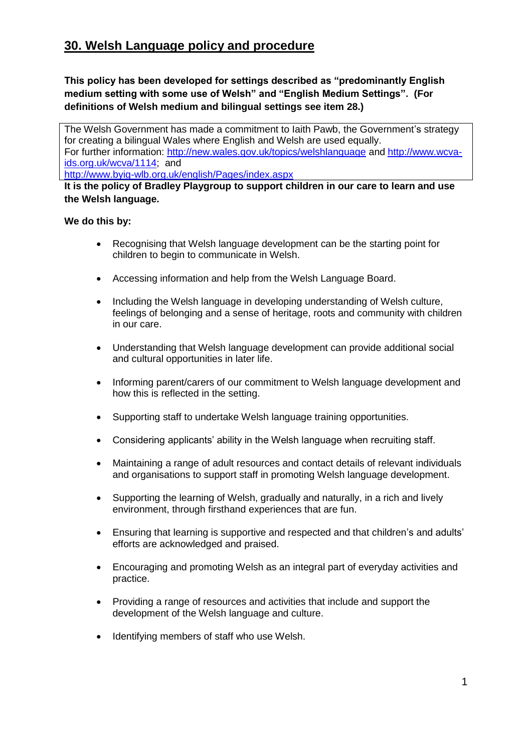## **30. Welsh Language policy and procedure**

**This policy has been developed for settings described as "predominantly English medium setting with some use of Welsh" and "English Medium Settings". (For definitions of Welsh medium and bilingual settings see item 28.)**

The Welsh Government has made a commitment to Iaith Pawb, the Government's strategy for creating a bilingual Wales where English and Welsh are used equally. For further information:<http://new.wales.gov.uk/topics/welshlanguage> and [http://www.wcva](http://www.wcva-ids.org.uk/wcva/1114)[ids.org.uk/wcva/1114;](http://www.wcva-ids.org.uk/wcva/1114) and

<http://www.byig-wlb.org.uk/english/Pages/index.aspx>

**It is the policy of Bradley Playgroup to support children in our care to learn and use the Welsh language.**

## **We do this by:**

- Recognising that Welsh language development can be the starting point for children to begin to communicate in Welsh.
- Accessing information and help from the Welsh Language Board.
- Including the Welsh language in developing understanding of Welsh culture, feelings of belonging and a sense of heritage, roots and community with children in our care.
- Understanding that Welsh language development can provide additional social and cultural opportunities in later life.
- Informing parent/carers of our commitment to Welsh language development and how this is reflected in the setting.
- Supporting staff to undertake Welsh language training opportunities.
- Considering applicants' ability in the Welsh language when recruiting staff.
- Maintaining a range of adult resources and contact details of relevant individuals and organisations to support staff in promoting Welsh language development.
- Supporting the learning of Welsh, gradually and naturally, in a rich and lively environment, through firsthand experiences that are fun.
- Ensuring that learning is supportive and respected and that children's and adults' efforts are acknowledged and praised.
- Encouraging and promoting Welsh as an integral part of everyday activities and practice.
- Providing a range of resources and activities that include and support the development of the Welsh language and culture.
- Identifying members of staff who use Welsh.